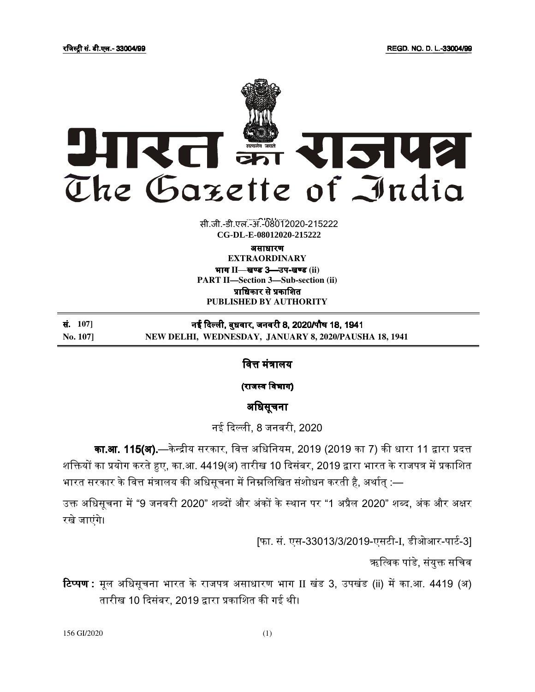

सी.जी.-डी.एल.-अं.-08012020-215222 **xxxGIDExxx CG-DL-E-08012020-215222**

असाधारण असाधारण

**EXTRAORDINARY**  भाग II—**खण्ड 3—उप-खण्ड** (ii) **PART II—Section 3—Sub-section (ii)** प्राधिकार से प्रकाशित **PUBLISHED BY AUTHORITY**

सं. **107]** नई दली, बुधवार, जनवरी 8, 2020/पौष 18, 1941 **No. 107] NEW DELHI, WEDNESDAY, JANUARY 8, 2020/PAUSHA 18, 1941** 

वित्त मंत्रालय

(राजस्व विभाग)

## अधिसूचना

नई दली, 8 जनवरी, 2020

**का.आ. 115(अ).**—केन्द्रीय सरकार, वित्त अधिनियम, 2019 (2019 का 7) की धारा 11 द्वारा प्रदत्त शक्तियों का प्रयोग करते हुए, का.आ. 4419(अ) तारीख 10 दिसंबर, 2019 द्वारा भारत के राजपत्र में प्रकाशित भारत सरकार के वित्त मंत्रालय की अधिसूचना में निम्नलिखित संशोधन करती है, अर्थात् :—

उक्त अधिसूचना में "9 जनवरी 2020" शब्दों और अंकों के स्थान पर "1 अप्रैल 2020" शब्द, अंक और अक्षर रखे जाएंगे।

[फा. सं. एस-33013/3/2019-एसटी-I, डीओआर-पार्ट-3]

ऋत्विक पांडे, संयुक्त सचिव

**टिप्पण:** मूल अधिसूचना भारत के राजपत्र असाधारण भाग II खंड 3, उपखंड (ii) में का.आ. 4419 (अ) तारीख 10 दिसंबर, 2019 द्वारा प्रकाशित की गई थी।

156 GI/2020 (1)